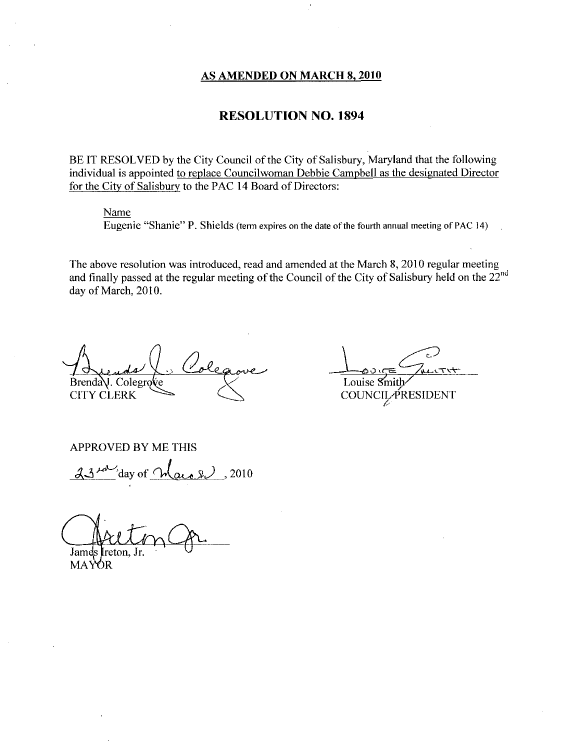#### AS AMENDED ON MARCH 8, 2010

#### RESOLUTION NO. 1894

BE IT RESOLVED by the City Council of the City of Salisbury, Maryland that the following individual is appointed to replace Councilwoman Debbie Campbell as the designated Director for the City of Salisbury to the PAC 14 Board of Directors:

#### Name

Eugenie "Shanie" P. Shields (term expires on the date of the fourth annual meeting of PAC 14)

The above resolution was introduced, read and amended at the March 8, 2010 regular meeting and finally passed at the regular meeting of the Council of the City of Salisbury held on the  $22^{nd}$ day of March, 2010. 18, 2010<br>
1894<br>
bury, Maryland that the follo<br>
ampbell as the designated Direct and The fourth annual meeting of PAC<br>
the March 8, 2010 regular meeting of PAC<br>
the City of Salisbury held on the City of Salisbury held on t

La Cole  $Brenda$ . Colegro $\ell$ e CITY CLERK

Louise Smith

APPROVED BY ME THIS

day of  $\bigwedge_{\alpha\in\alpha}$  2010

Jam

**MAYOR**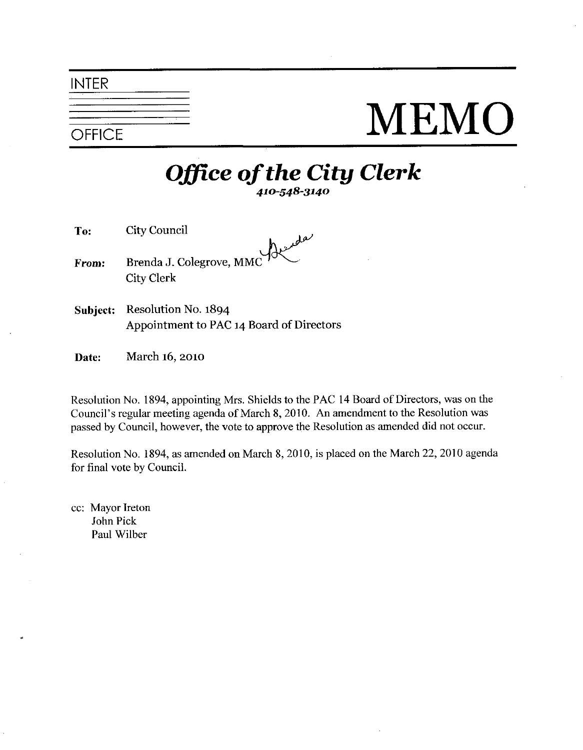#### INTER

## **SPEICE** MEMO

# $\frac{1}{\sqrt{\frac{1}{2}}}{\frac{1}{\sqrt{1}}}{\int_{410-548-3140}^{410-548-3140}}$

- To: City Council
- From: Brenda J. Colegrove, MMC City Clerk
- Subject: Resolution No. 1894 Appointment to PAC 14 Board of Directors
- **Date:** March 16, 2010

Resolution No. 1894, appointing Mrs. Shields to the PAC 14 Board of Directors, was on the Date: March 16, 2010<br>Resolution No. 1894, appointing Mrs. Shields to the PAC 14 Board of Directors, was on the<br>Council's regular meeting agenda of March 8, 2010. An amendment to the Resolution was<br>passed by Council, howeve passed by Council, however, the vote to approve the Resolution as amended did not occur.

Resolution No. 1894, as amended on March 8, 2010, is placed on the March 22, 2010 agenda for final vote by Council

cc: Mayor Ireton John Pick Paul Wilber